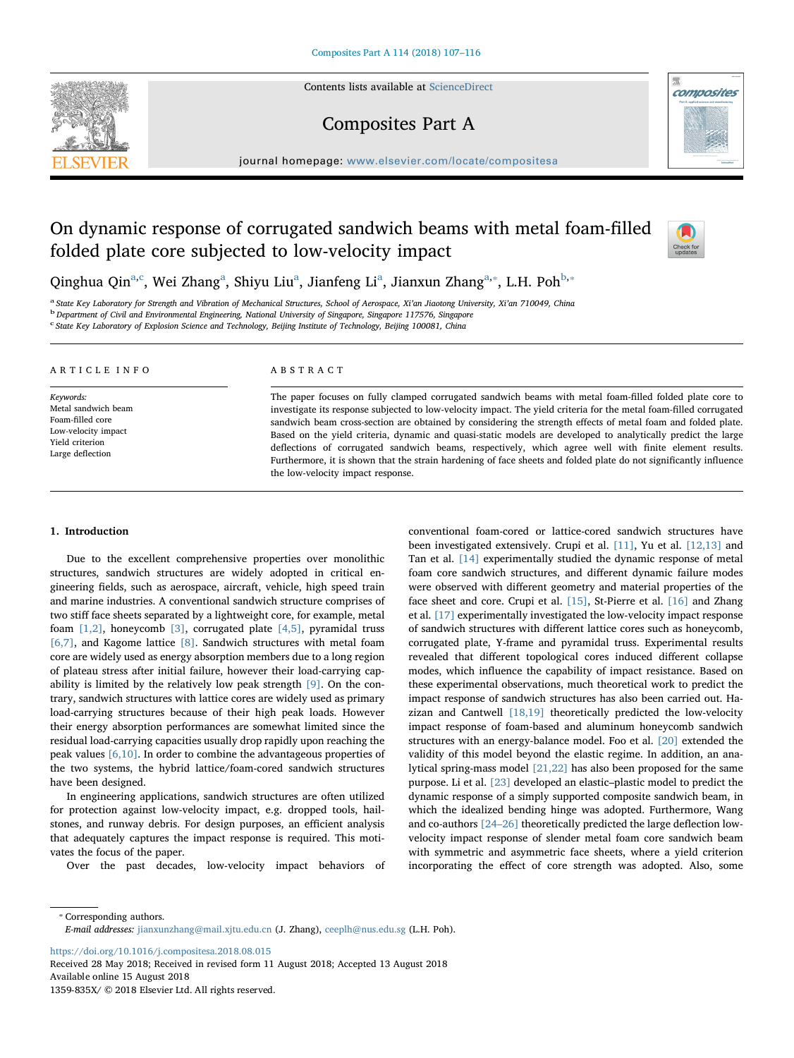Contents lists available at [ScienceDirect](http://www.sciencedirect.com/science/journal/1359835X)





Composites Part A

journal homepage: [www.elsevier.com/locate/compositesa](https://www.elsevier.com/locate/compositesa)

# On dynamic response of corrugated sandwich beams with metal foam-filled folded plate core subjected to low-velocity impact



Qinghua Qin<sup>a[,c](#page-0-1)</sup>, Wei Zh[a](#page-0-0)ng<sup>a</sup>, Shiyu Liu<sup>a</sup>, Jianfeng Li<sup>a</sup>, Jianxun Zhang<sup>a,\*</sup>, L.H. Poh<sup>[b](#page-0-3),\*</sup>

<span id="page-0-3"></span><span id="page-0-0"></span><sup>a</sup> State Key Laboratory for Strength and Vibration of Mechanical Structures, School of Aerospace, Xi'an Jiaotong University, Xi'an 710049, China<br><sup>b</sup> Department of Civil and Environmental Engineering, National University o

<span id="page-0-1"></span>c State Key Laboratory of Explosion Science and Technology, Beijing Institute of Technology, Beijing 100081, China

| ARTICLE INFO                                                                                                       | ABSTRACT                                                                                                                                                                                                                                                                                                                                                                                                                                                                                                                                                                                                                                                                                                                          |
|--------------------------------------------------------------------------------------------------------------------|-----------------------------------------------------------------------------------------------------------------------------------------------------------------------------------------------------------------------------------------------------------------------------------------------------------------------------------------------------------------------------------------------------------------------------------------------------------------------------------------------------------------------------------------------------------------------------------------------------------------------------------------------------------------------------------------------------------------------------------|
| Keywords:<br>Metal sandwich beam<br>Foam-filled core<br>Low-velocity impact<br>Yield criterion<br>Large deflection | The paper focuses on fully clamped corrugated sandwich beams with metal foam-filled folded plate core to<br>investigate its response subjected to low-velocity impact. The yield criteria for the metal foam-filled corrugated<br>sandwich beam cross-section are obtained by considering the strength effects of metal foam and folded plate.<br>Based on the yield criteria, dynamic and quasi-static models are developed to analytically predict the large<br>deflections of corrugated sandwich beams, respectively, which agree well with finite element results.<br>Furthermore, it is shown that the strain hardening of face sheets and folded plate do not significantly influence<br>the low-velocity impact response. |

### 1. Introduction

Due to the excellent comprehensive properties over monolithic structures, sandwich structures are widely adopted in critical engineering fields, such as aerospace, aircraft, vehicle, high speed train and marine industries. A conventional sandwich structure comprises of two stiff face sheets separated by a lightweight core, for example, metal foam [\[1,2\]](#page--1-0), honeycomb [\[3\],](#page--1-1) corrugated plate [\[4,5\]](#page--1-2), pyramidal truss [\[6,7\],](#page--1-3) and Kagome lattice [\[8\]](#page--1-4). Sandwich structures with metal foam core are widely used as energy absorption members due to a long region of plateau stress after initial failure, however their load-carrying capability is limited by the relatively low peak strength [\[9\].](#page--1-5) On the contrary, sandwich structures with lattice cores are widely used as primary load-carrying structures because of their high peak loads. However their energy absorption performances are somewhat limited since the residual load-carrying capacities usually drop rapidly upon reaching the peak values [\[6,10\]](#page--1-3). In order to combine the advantageous properties of the two systems, the hybrid lattice/foam-cored sandwich structures have been designed.

In engineering applications, sandwich structures are often utilized for protection against low-velocity impact, e.g. dropped tools, hailstones, and runway debris. For design purposes, an efficient analysis that adequately captures the impact response is required. This motivates the focus of the paper.

Over the past decades, low-velocity impact behaviors of

conventional foam-cored or lattice-cored sandwich structures have been investigated extensively. Crupi et al. [\[11\],](#page--1-6) Yu et al. [\[12,13\]](#page--1-7) and Tan et al. [\[14\]](#page--1-8) experimentally studied the dynamic response of metal foam core sandwich structures, and different dynamic failure modes were observed with different geometry and material properties of the face sheet and core. Crupi et al. [\[15\]](#page--1-9), St-Pierre et al. [\[16\]](#page--1-10) and Zhang et al. [\[17\]](#page--1-11) experimentally investigated the low-velocity impact response of sandwich structures with different lattice cores such as honeycomb, corrugated plate, Y-frame and pyramidal truss. Experimental results revealed that different topological cores induced different collapse modes, which influence the capability of impact resistance. Based on these experimental observations, much theoretical work to predict the impact response of sandwich structures has also been carried out. Hazizan and Cantwell [\[18,19\]](#page--1-12) theoretically predicted the low-velocity impact response of foam-based and aluminum honeycomb sandwich structures with an energy-balance model. Foo et al. [\[20\]](#page--1-13) extended the validity of this model beyond the elastic regime. In addition, an analytical spring-mass model [\[21,22\]](#page--1-14) has also been proposed for the same purpose. Li et al. [\[23\]](#page--1-15) developed an elastic–plastic model to predict the dynamic response of a simply supported composite sandwich beam, in which the idealized bending hinge was adopted. Furthermore, Wang and co-authors [24–[26\]](#page--1-16) theoretically predicted the large deflection lowvelocity impact response of slender metal foam core sandwich beam with symmetric and asymmetric face sheets, where a yield criterion incorporating the effect of core strength was adopted. Also, some

<https://doi.org/10.1016/j.compositesa.2018.08.015>

Received 28 May 2018; Received in revised form 11 August 2018; Accepted 13 August 2018 Available online 15 August 2018 1359-835X/ © 2018 Elsevier Ltd. All rights reserved.

<span id="page-0-2"></span><sup>⁎</sup> Corresponding authors.

E-mail addresses: [jianxunzhang@mail.xjtu.edu.cn](mailto:jianxunzhang@mail.xjtu.edu.cn) (J. Zhang), [ceeplh@nus.edu.sg](mailto:ceeplh@nus.edu.sg) (L.H. Poh).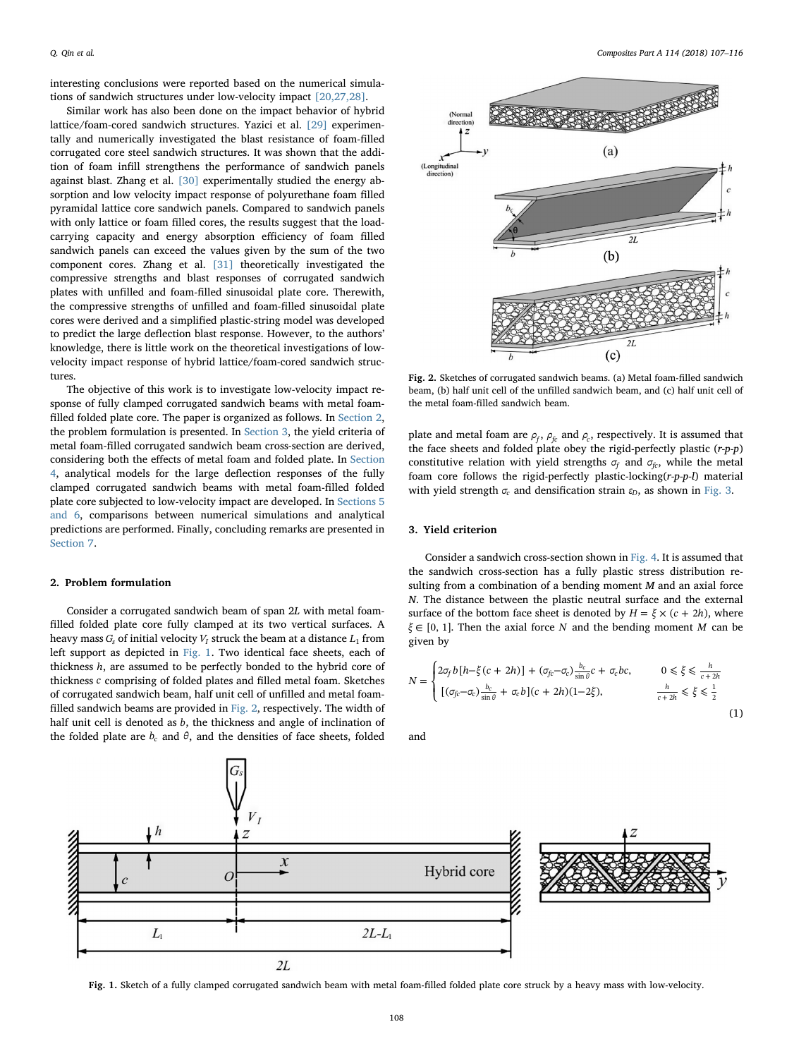interesting conclusions were reported based on the numerical simulations of sandwich structures under low-velocity impact [\[20,27,28\]](#page--1-13).

Similar work has also been done on the impact behavior of hybrid lattice/foam-cored sandwich structures. Yazici et al. [\[29\]](#page--1-17) experimentally and numerically investigated the blast resistance of foam-filled corrugated core steel sandwich structures. It was shown that the addition of foam infill strengthens the performance of sandwich panels against blast. Zhang et al. [\[30\]](#page--1-18) experimentally studied the energy absorption and low velocity impact response of polyurethane foam filled pyramidal lattice core sandwich panels. Compared to sandwich panels with only lattice or foam filled cores, the results suggest that the loadcarrying capacity and energy absorption efficiency of foam filled sandwich panels can exceed the values given by the sum of the two component cores. Zhang et al. [\[31\]](#page--1-19) theoretically investigated the compressive strengths and blast responses of corrugated sandwich plates with unfilled and foam-filled sinusoidal plate core. Therewith, the compressive strengths of unfilled and foam-filled sinusoidal plate cores were derived and a simplified plastic-string model was developed to predict the large deflection blast response. However, to the authors' knowledge, there is little work on the theoretical investigations of lowvelocity impact response of hybrid lattice/foam-cored sandwich structures.

The objective of this work is to investigate low-velocity impact response of fully clamped corrugated sandwich beams with metal foamfilled folded plate core. The paper is organized as follows. In [Section 2](#page-1-0), the problem formulation is presented. In [Section 3,](#page-1-1) the yield criteria of metal foam-filled corrugated sandwich beam cross-section are derived, considering both the effects of metal foam and folded plate. In [Section](#page--1-20) [4](#page--1-20), analytical models for the large deflection responses of the fully clamped corrugated sandwich beams with metal foam-filled folded plate core subjected to low-velocity impact are developed. In [Sections 5](#page--1-21) [and 6](#page--1-21), comparisons between numerical simulations and analytical predictions are performed. Finally, concluding remarks are presented in [Section 7.](#page--1-22)

## <span id="page-1-0"></span>2. Problem formulation

Consider a corrugated sandwich beam of span 2L with metal foamfilled folded plate core fully clamped at its two vertical surfaces. A heavy mass  $G_s$  of initial velocity  $V_I$  struck the beam at a distance  $L_1$  from left support as depicted in [Fig. 1.](#page-1-2) Two identical face sheets, each of thickness *h*, are assumed to be perfectly bonded to the hybrid core of thickness *c* comprising of folded plates and filled metal foam. Sketches of corrugated sandwich beam, half unit cell of unfilled and metal foamfilled sandwich beams are provided in [Fig. 2](#page-1-3), respectively. The width of half unit cell is denoted as *b*, the thickness and angle of inclination of the folded plate are  $b_c$  and  $\theta$ , and the densities of face sheets, folded

<span id="page-1-3"></span>

Fig. 2. Sketches of corrugated sandwich beams. (a) Metal foam-filled sandwich beam, (b) half unit cell of the unfilled sandwich beam, and (c) half unit cell of the metal foam-filled sandwich beam.

plate and metal foam are  $\rho_f$ ,  $\rho_f$  and  $\rho_c$ , respectively. It is assumed that the face sheets and folded plate obey the rigid-perfectly plastic  $(r-p-p)$ constitutive relation with yield strengths  $\sigma_f$  and  $\sigma_{fc}$ , while the metal foam core follows the rigid-perfectly plastic-locking(r-p-p-l) material with yield strength *σ<sub>c</sub>* and densification strain *ε*<sub>D</sub>, as shown in [Fig. 3.](#page--1-23)

### <span id="page-1-1"></span>3. Yield criterion

Consider a sandwich cross-section shown in [Fig. 4.](#page--1-24) It is assumed that the sandwich cross-section has a fully plastic stress distribution resulting from a combination of a bending moment M and an axial force N. The distance between the plastic neutral surface and the external surface of the bottom face sheet is denoted by  $H = \xi \times (c + 2h)$ , where *ξ* ∈ [0, 1]. Then the axial force *N* and the bending moment *M* can be given by

$$
N = \begin{cases} 2\sigma_f b \left[h - \xi(c + 2h)\right] + (\sigma_{fc} - \sigma_c) \frac{b_c}{\sin \theta} c + \sigma_c bc, & 0 \le \xi \le \frac{h}{c + 2h} \\ \left[(\sigma_{fc} - \sigma_c) \frac{b_c}{\sin \theta} + \sigma_c b\right](c + 2h)(1 - 2\xi), & \frac{h}{c + 2h} \le \xi \le \frac{1}{2} \end{cases}
$$
(1)

and

<span id="page-1-2"></span>

Fig. 1. Sketch of a fully clamped corrugated sandwich beam with metal foam-filled folded plate core struck by a heavy mass with low-velocity.